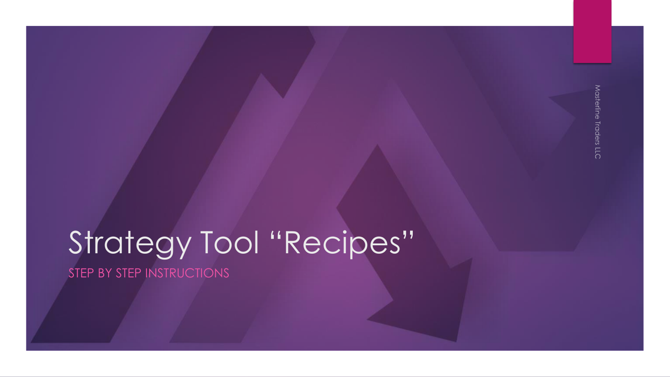### Strategy Tool "Recipes" STEP BY STEP INSTRUCTIONS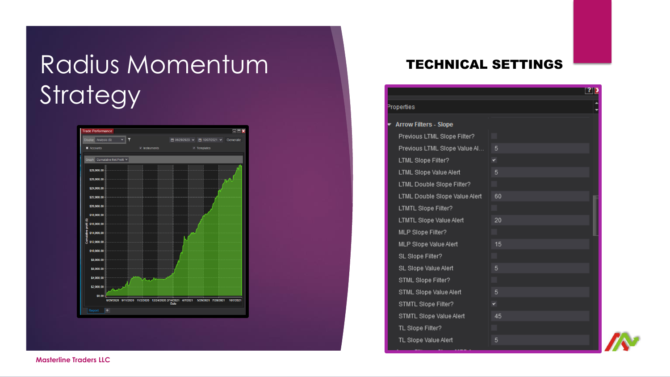# Radius Momentum **Strategy**



### TECHNICAL SETTINGS

|                               |    | ? 2 |
|-------------------------------|----|-----|
| erties                        |    |     |
| rrow Filters - Slope          |    |     |
| Previous LTML Slope Filter?   |    |     |
| Previous LTML Slope Value Al  | 5  |     |
| LTML Slope Filter?            | ٧  |     |
| LTML Slope Value Alert        | 5  |     |
| LTML Double Slope Filter?     |    |     |
| LTML Double Slope Value Alert | 60 |     |
| LTMTL Slope Filter?           |    |     |
| LTMTL Slope Value Alert       | 20 |     |
| MLP Slope Filter?             |    |     |
| MLP Slope Value Alert         | 15 |     |
| SL Slope Filter?              |    |     |
| SL Slope Value Alert          | 5  |     |
| STML Slope Filter?            |    |     |
| STML Slope Value Alert        | 5  |     |
| STMTL Slope Filter?           | ×. |     |
| STMTL Slope Value Alert       | 45 |     |
| TL Slope Filter?              |    |     |
| TL Slope Value Alert          | 5  |     |

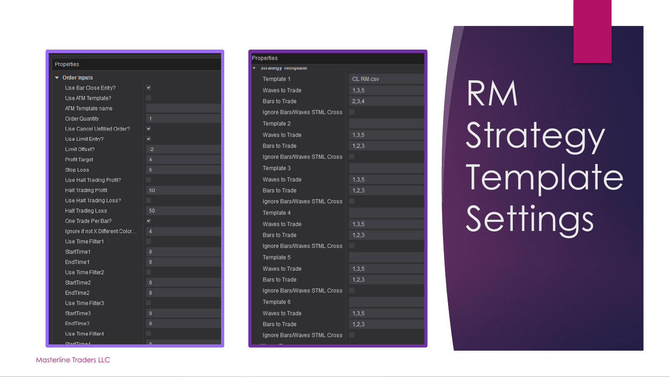| Properties |  |  |  |
|------------|--|--|--|
|            |  |  |  |
|            |  |  |  |

| <b>Order Inputs</b>             |      |
|---------------------------------|------|
| Use Bar Close Entry?            | ٧    |
| Use ATM Template?               |      |
| ATM Template name               |      |
| Order Quantity                  | 1    |
| Use Cancel Unfilled Order?      | ᢦ    |
| Use Limit Entry?                | ᢦ    |
| Limit Offset?                   | $-2$ |
| Profit Target                   | 4    |
| Stop Loss                       | 6    |
| Use Halt Trading Profit?        |      |
| <b>Halt Trading Profit</b>      | 50   |
| Use Halt Trading Loss?          |      |
| Halt Trading Loss               | 50   |
| One Trade Per Bar?              | ٧    |
| Ignore if not X Different Color | Δ    |
| Use Time Filter1                |      |
| StartTime1                      | 0    |
| EndTime1                        | 0    |
| Use Time Filter2                |      |
| StartTime2                      | 0    |
| EndTime2                        | 0    |
| Use Time Filter3                |      |
| StartTime3                      | 0    |
| EndTime3                        | 0    |
| Use Time Filter4                |      |
|                                 |      |

| roperties                    |           |  |  |  |  |
|------------------------------|-----------|--|--|--|--|
| <b>Strategy</b> remplate     |           |  |  |  |  |
| Template 1                   | CL RM.csv |  |  |  |  |
| Waves to Trade               | 1,3,5     |  |  |  |  |
| Bars to Trade                | 2,3,4     |  |  |  |  |
| Ignore Bars/Waves STML Cross |           |  |  |  |  |
| Template 2                   |           |  |  |  |  |
| Waves to Trade               | 1,3,5     |  |  |  |  |
| Bars to Trade                | 1,2,3     |  |  |  |  |
| Ignore Bars/Waves STML Cross |           |  |  |  |  |
| Template 3                   |           |  |  |  |  |
| Waves to Trade               | 1,3,5     |  |  |  |  |
| Bars to Trade                | 1,2,3     |  |  |  |  |
| Ignore Bars/Waves STML Cross |           |  |  |  |  |
| Template 4                   |           |  |  |  |  |
| Waves to Trade               | 1,3,5     |  |  |  |  |
| Bars to Trade                | 1,2,3     |  |  |  |  |
| Ignore Bars/Waves STML Cross |           |  |  |  |  |
| Template 5                   |           |  |  |  |  |
| Waves to Trade               | 1,3,5     |  |  |  |  |
| Bars to Trade                | 1,2,3     |  |  |  |  |
| Ignore Bars/Waves STML Cross |           |  |  |  |  |
| Template 6                   |           |  |  |  |  |
| Waves to Trade               | 1,3,5     |  |  |  |  |
| Bars to Trade                | 1,2,3     |  |  |  |  |
| Ignore Bars/Waves STML Cross |           |  |  |  |  |
|                              |           |  |  |  |  |

# RM Strategy Template Settings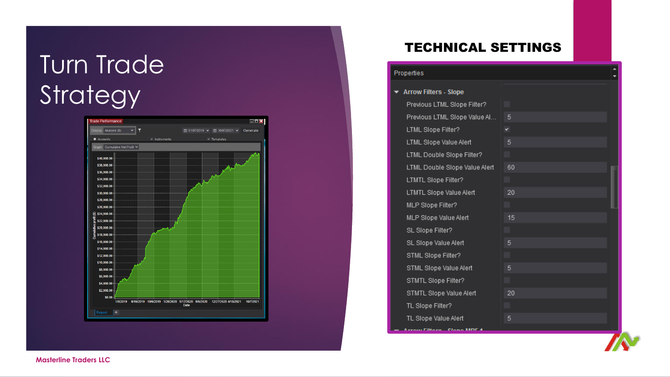## Turn Trade **Strategy**



### TECHNICAL SETTINGS

#### Properties

#### ▼ Arrow Filters - Slope Previous LTML Slope Filter? Previous LTML Slope Value Al... -5 LTML Slope Filter? LTML Slope Value Alert 5 LTML Double Slope Filter? LTML Double Slope Value Alert 60 LTMTL Slope Filter? 20 LTMTL Slope Value Alert MLP Slope Filter? MLP Slope Value Alert 15 SL Slope Filter? SL Slope Value Alert STML Slope Filter? STML Slope Value Alert STMTL Slope Filter? STMTL Slope Value Alert 20 TL Slope Filter? TL Slope Value Alert 5 Announce Citizen Clause MDC 4



**Masterline Traders LLC**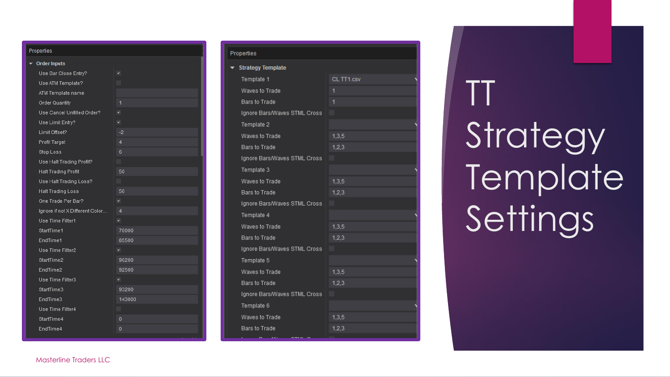| Properties |                                 |                |  |  |  |  |
|------------|---------------------------------|----------------|--|--|--|--|
| r          | <b>Order Inputs</b>             |                |  |  |  |  |
|            | Use Bar Close Entry?            | ۳              |  |  |  |  |
|            | Use ATM Template?               |                |  |  |  |  |
|            | ATM Template name               |                |  |  |  |  |
|            | Order Quantity                  | 1              |  |  |  |  |
|            | Use Cancel Unfilled Order?      | ٧              |  |  |  |  |
|            | Use Limit Entry?                |                |  |  |  |  |
|            | Limit Offset?                   | $-2$           |  |  |  |  |
|            | Profit Target                   | 4              |  |  |  |  |
|            | Stop Loss                       | 6              |  |  |  |  |
|            | Use Halt Trading Profit?        |                |  |  |  |  |
|            | Halt Trading Profit             | 50             |  |  |  |  |
|            | Use Halt Trading Loss?          |                |  |  |  |  |
|            | <b>Halt Trading Loss</b>        | 50             |  |  |  |  |
|            | One Trade Per Bar?              | ٧              |  |  |  |  |
|            | Ignore if not X Different Color | $\overline{4}$ |  |  |  |  |
|            | Use Time Filter1                | ۰              |  |  |  |  |
|            | StartTime1                      | 70000          |  |  |  |  |
|            | EndTime1                        | 85500          |  |  |  |  |
|            | Use Time Filter2                |                |  |  |  |  |
|            | StartTime2                      | 90200          |  |  |  |  |
|            | EndTime2                        | 92500          |  |  |  |  |
|            | Use Time Filter3                | ٧              |  |  |  |  |
|            | StartTime3                      | 93200          |  |  |  |  |
|            | EndTime3                        | 143000         |  |  |  |  |
|            | Use Time Filter4                |                |  |  |  |  |
|            | StartTime4                      | 0              |  |  |  |  |
|            | EndTime4                        | 0              |  |  |  |  |

| roperties                    |            |  |  |  |
|------------------------------|------------|--|--|--|
| <b>Strategy Template</b>     |            |  |  |  |
| Template 1                   | CL TT1.csv |  |  |  |
| Waves to Trade               | 1          |  |  |  |
| Bars to Trade                |            |  |  |  |
| Ignore Bars/Waves STML Cross |            |  |  |  |
| Template 2                   |            |  |  |  |
| Waves to Trade               | 1,3,5      |  |  |  |
| Bars to Trade                | 1,2,3      |  |  |  |
| Ignore Bars/Waves STML Cross |            |  |  |  |
| Template 3                   |            |  |  |  |
| Waves to Trade               | 1,3,5      |  |  |  |
| Bars to Trade                | 1,2,3      |  |  |  |
| Ignore Bars/Waves STML Cross |            |  |  |  |
| Template 4                   |            |  |  |  |
| Waves to Trade               | 1,3,5      |  |  |  |
| Bars to Trade                | 1,2,3      |  |  |  |
| Ignore Bars/Waves STML Cross |            |  |  |  |
| Template 5                   |            |  |  |  |
| Waves to Trade               | 1,3,5      |  |  |  |
| Bars to Trade                | 1,2,3      |  |  |  |
| Ignore Bars/Waves STML Cross |            |  |  |  |
| Template 6                   |            |  |  |  |
| Waves to Trade               | 1,3,5      |  |  |  |
| <b>Bars to Trade</b>         | 1,2,3      |  |  |  |
|                              |            |  |  |  |

TT **Strategy Template** Settings

#### Masterline Traders LLC